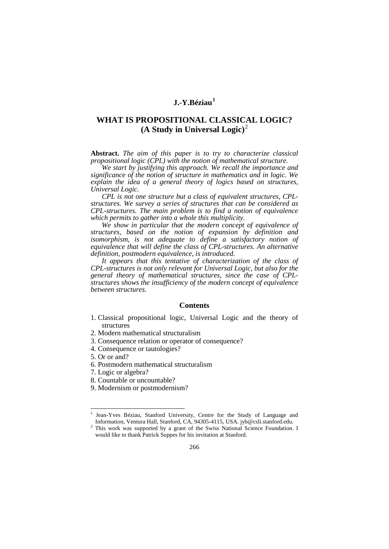# **J.-Y.Béziau[1](#page-0-0)**

# **WHAT IS PROPOSITIONAL CLASSICAL LOGIC? (A Study in Universal Logic)** [2](#page-0-1)

**Abstract.** *The aim of this paper is to try to characterize classical propositional logic (CPL) with the notion of mathematical structure.* 

*We start by justifying this approach. We recall the importance and significance of the notion of structure in mathematics and in logic. We explain the idea of a general theory of logics based on structures, Universal Logic.*

*CPL is not one structure but a class of equivalent structures, CPLstructures. We survey a series of structures that can be considered as CPL-structures. The main problem is to find a notion of equivalence which permits to gather into a whole this multiplicity.* 

*We show in particular that the modern concept of equivalence of structures, based on the notion of expansion by definition and isomorphism, is not adequate to define a satisfactory notion of equivalence that will define the class of CPL-structures. An alternative definition, postmodern equivalence, is introduced.* 

*It appears that this tentative of characterization of the class of CPL-structures is not only relevant for Universal Logic, but also for the general theory of mathematical structures, since the case of CPLstructures shows the insufficiency of the modern concept of equivalence between structures.* 

## **Contents**

- 1. Classical propositional logic, Universal Logic and the theory of structures
- 2. Modern mathematical structuralism
- 3. Consequence relation or operator of consequence?
- 4. Consequence or tautologies?
- 5. Or or and?

-

- 6. Postmodern mathematical structuralism
- 7. Logic or algebra?
- 8. Countable or uncountable?
- 9. Modernism or postmodernism?

<span id="page-0-0"></span>Jean-Yves Béziau, Stanford University, Centre for the Study of Language and Information, Ventura Hall, Stanford, CA, 94305-4115, USA. jyb@csli.stanford.edu.

<span id="page-0-1"></span>This work was supported by a grant of the Swiss National Science Foundation. I would like to thank Patrick Suppes for his invitation at Stanford.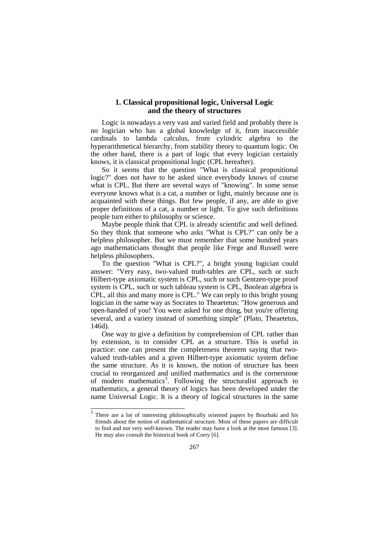# **1. Classical propositional logic, Universal Logic and the theory of structures**

Logic is nowadays a very vast and varied field and probably there is no logician who has a global knowledge of it, from inaccessible cardinals to lambda calculus, from cylindric algebra to the hyperarithmetical hierarchy, from stability theory to quantum logic. On the other hand, there is a part of logic that every logician certainly knows, it is classical propositional logic (CPL hereafter).

So it seems that the question "What is classical propositional logic?" does not have to be asked since everybody knows of course what is CPL. But there are several ways of "knowing". In some sense everyone knows what is a cat, a number or light, mainly because one is acquainted with these things. But few people, if any, are able to give proper definitions of a cat, a number or light. To give such definitions people turn either to philosophy or science.

Maybe people think that CPL is already scientific and well defined. So they think that someone who asks "What is CPL?" can only be a helpless philosopher. But we must remember that some hundred years ago mathematicians thought that people like Frege and Russell were helpless philosophers.

To the question "What is CPL?", a bright young logician could answer: "Very easy, two-valued truth-tables are CPL, such or such Hilbert-type axiomatic system is CPL, such or such Gentzen-type proof system is CPL, such or such tableau system is CPL, Boolean algebra is CPL, all this and many more is CPL." We can reply to this bright young logician in the same way as Socrates to Theaetetus: "How generous and open-handed of you! You were asked for one thing, but you're offering several, and a variety instead of something simple" (Plato, Theaetetus, 146d).

One way to give a definition by comprehension of CPL rather than by extension, is to consider CPL as a structure. This is useful in practice: one can present the completeness theorem saying that twovalued truth-tables and a given Hilbert-type axiomatic system define the same structure. As it is known, the notion of structure has been crucial to reorganized and unified mathematics and is the cornerstone of modern mathematics<sup>[3](#page-1-0)</sup>. Following the structuralist approach to mathematics, a general theory of logics has been developed under the name Universal Logic. It is a theory of logical structures in the same

<span id="page-1-0"></span>There are a lot of interesting philosophically oriented papers by Bourbaki and his friends about the notion of mathematical structure. Most of these papers are difficult to find and not very well-known. The reader may have a look at the most famous [3]. He may also consult the historical book of Corry [6]. 3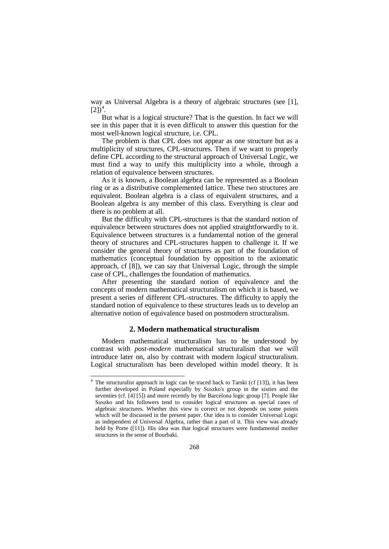way as Universal Algebra is a theory of algebraic structures (see [1],  $[2]$ )<sup>[4](#page-2-0)</sup>.

But what is a logical structure? That is the question. In fact we will see in this paper that it is even difficult to answer this question for the most well-known logical structure, i.e. CPL.

The problem is that CPL does not appear as one structure but as a multiplicity of structures, CPL-structures. Then if we want to properly define CPL according to the structural approach of Universal Logic, we must find a way to unify this multiplicity into a whole, through a relation of equivalence between structures.

As it is known, a Boolean algebra can be represented as a Boolean ring or as a distributive complemented lattice. These two structures are equivalent. Boolean algebra is a class of equivalent structures, and a Boolean algebra is any member of this class. Everything is clear and there is no problem at all.

But the difficulty with CPL-structures is that the standard notion of equivalence between structures does not applied straightforwardly to it. Equivalence between structures is a fundamental notion of the general theory of structures and CPL-structures happen to challenge it. If we consider the general theory of structures as part of the foundation of mathematics (conceptual foundation by opposition to the axiomatic approach, cf [8]), we can say that Universal Logic, through the simple case of CPL, challenges the foundation of mathematics.

After presenting the standard notion of equivalence and the concepts of modern mathematical structuralism on which it is based, we present a series of different CPL-structures. The difficulty to apply the standard notion of equivalence to these structures leads us to develop an alternative notion of equivalence based on postmodern structuralism.

#### **2. Modern mathematical structuralism**

Modern mathematical structuralism has to be understood by contrast with *post-modern* mathematical structuralism that we will introduce later on, also by contrast with modern *logical* structuralism. Logical structuralism has been developed within model theory. It is

<u>.</u>

<span id="page-2-0"></span><sup>&</sup>lt;sup>4</sup> The structuralist approach in logic can be traced back to Tarski (cf [13]), it has been further developed in Poland especially by Suszko's group in the sixties and the seventies (cf. [4] [5]) and more recently by the Barcelona logic group [7]. People like Suszko and his followers tend to consider logical structures as special cases of algebraic structures. Whether this view is correct or not depends on some points which will be discussed in the present paper. Our idea is to consider Universal Logic as independent of Universal Algebra, rather than a part of it. This view was already held by Porte ([11]). His idea was that logical structures were fundamental mother structures in the sense of Bourbaki.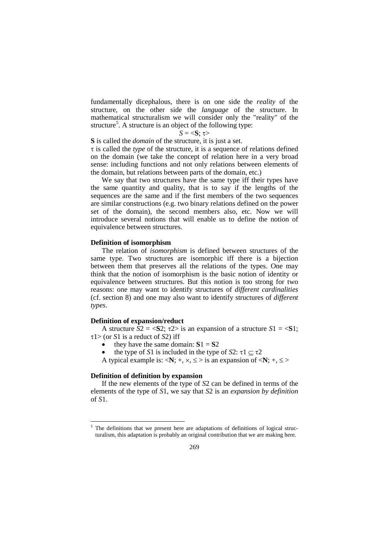fundamentally dicephalous, there is on one side the *reality* of the structure, on the other side the *language* of the structure. In mathematical structuralism we will consider only the "reality" of the structure<sup>[5](#page-3-0)</sup>. A structure is an object of the following type:

## *S* = <**S**; τ>

**S** is called the *domain* of the structure, it is just a set.

τ is called the *type* of the structure, it is a sequence of relations defined on the domain (we take the concept of relation here in a very broad sense: including functions and not only relations between elements of the domain, but relations between parts of the domain, etc.)

We say that two structures have the same type iff their types have the same quantity and quality, that is to say if the lengths of the sequences are the same and if the first members of the two sequences are similar constructions (e.g. two binary relations defined on the power set of the domain), the second members also, etc. Now we will introduce several notions that will enable us to define the notion of equivalence between structures.

## **Definition of isomorphism**

The relation of *isomorphism* is defined between structures of the same type. Two structures are isomorphic iff there is a bijection between them that preserves all the relations of the types. One may think that the notion of isomorphism is the basic notion of identity or equivalence between structures. But this notion is too strong for two reasons: one may want to identify structures of *different cardinalities* (cf. section 8) and one may also want to identify structures of *different types*.

## **Definition of expansion/reduct**

A structure  $S2 = \langle S2; \tau2 \rangle$  is an expansion of a structure  $S1 = \langle S1;$ τ1> (or *S*1 is a reduct of *S*2) iff

they have the same domain:  $S1 = S2$ 

the type of *S*1 is included in the type of *S*2:  $\tau$ 1  $\subset \tau$ 2

A typical example is:  $\langle N; +, \times, \le \rangle$  is an expansion of  $\langle N; +, \le \rangle$ 

## **Definition of definition by expansion**

<u>.</u>

If the new elements of the type of *S*2 can be defined in terms of the elements of the type of *S*1, we say that *S*2 is an *expansion by definition* of *S*1.

<span id="page-3-0"></span><sup>&</sup>lt;sup>5</sup> The definitions that we present here are adaptations of definitions of logical structuralism, this adaptation is probably an original contribution that we are making here.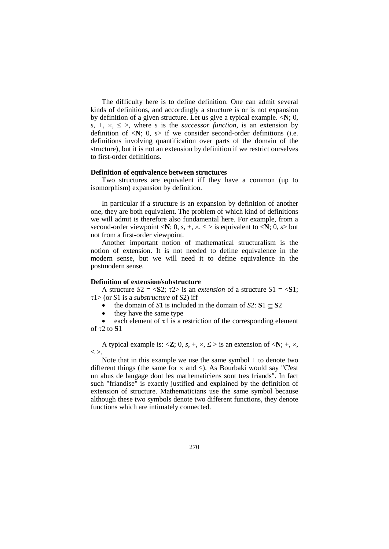The difficulty here is to define definition. One can admit several kinds of definitions, and accordingly a structure is or is not expansion by definition of a given structure. Let us give a typical example. <**N**; 0,  $s, +, \times, \leq$  >, where *s* is the *successor function*, is an extension by definition of  $\langle N; 0, s \rangle$  if we consider second-order definitions (i.e. definitions involving quantification over parts of the domain of the structure), but it is not an extension by definition if we restrict ourselves to first-order definitions.

#### **Definition of equivalence between structures**

Two structures are equivalent iff they have a common (up to isomorphism) expansion by definition.

In particular if a structure is an expansion by definition of another one, they are both equivalent. The problem of which kind of definitions we will admit is therefore also fundamental here. For example, from a second-order viewpoint <**N**; 0, *s*, +,  $\times$ ,  $\le$  > is equivalent to <**N**; 0, *s*> but not from a first-order viewpoint.

Another important notion of mathematical structuralism is the notion of extension. It is not needed to define equivalence in the modern sense, but we will need it to define equivalence in the postmodern sense.

### **Definition of extension/substructure**

A structure  $S2 = \langle S2 : \tau2 \rangle$  is an *extension* of a structure  $S1 = \langle S1 :$ τ1> (or *S*1 is a *substructure* of *S*2) iff

- the domain of *S*1 is included in the domain of  $S2: S1 \subset S2$
- they have the same type

each element of  $\tau$ 1 is a restriction of the corresponding element of τ2 to **S**1

A typical example is:  $\langle \mathbf{Z}; 0, s, +, \times, \le \rangle$  is an extension of  $\langle \mathbf{N}; +, \times, \rangle$  $\leq$   $>$ .

Note that in this example we use the same symbol  $+$  to denote two different things (the same for  $\times$  and  $\leq$ ). As Bourbaki would say "C'est un abus de langage dont les mathematiciens sont tres friands". In fact such "friandise" is exactly justified and explained by the definition of extension of structure. Mathematicians use the same symbol because although these two symbols denote two different functions, they denote functions which are intimately connected.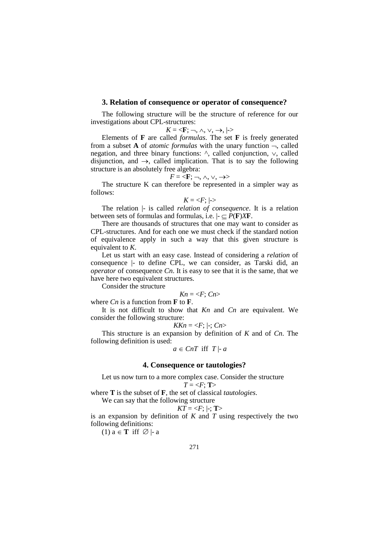#### **3. Relation of consequence or operator of consequence?**

The following structure will be the structure of reference for our investigations about CPL-structures:

$$
K = \langle \mathbf{F}; \neg, \wedge, \vee, \rightarrow, | \rightarrow
$$

Elements of **F** are called *formulas*. The set **F** is freely generated from a subset **A** of *atomic formulas* with the unary function  $\neg$ , called negation, and three binary functions: ^, called conjunction, ∨, called disjunction, and  $\rightarrow$ , called implication. That is to say the following structure is an absolutely free algebra:

$$
F = \langle \mathbf{F}; \neg, \wedge, \vee, \rightarrow \rangle
$$

The structure K can therefore be represented in a simpler way as follows:

$$
K = \langle F; | \cdot \rangle
$$

The relation |- is called *relation of consequence*. It is a relation between sets of formulas and formulas, i.e.  $\vdash \subseteq P(\mathbf{F})\mathbf{X}\mathbf{F}$ .

There are thousands of structures that one may want to consider as CPL-structures. And for each one we must check if the standard notion of equivalence apply in such a way that this given structure is equivalent to *K*.

Let us start with an easy case. Instead of considering a *relation* of consequence |- to define CPL, we can consider, as Tarski did, an *operator* of consequence *Cn*. It is easy to see that it is the same, that we have here two equivalent structures.

Consider the structure

$$
Kn = \langle F; Cn \rangle
$$

where *Cn* is a function from **F** to **F**.

It is not difficult to show that *Kn* and *Cn* are equivalent. We consider the following structure:

$$
KKn = \langle F; | \cdot; Cn \rangle
$$

This structure is an expansion by definition of *K* and of *Cn*. The following definition is used:

$$
a \in CnT \text{ iff } T \mid a
$$

### **4. Consequence or tautologies?**

Let us now turn to a more complex case. Consider the structure  $T = \langle F; T \rangle$ 

where **T** is the subset of **F**, the set of classical *tautologies*.

We can say that the following structure

$$
KT = \langle F; | \cdot; T \rangle
$$

is an expansion by definition of *K* and *T* using respectively the two following definitions:

(1) a ∈ **T** iff ∅ |- a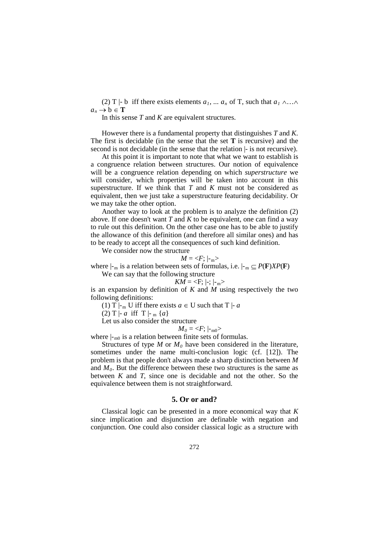(2) T |- b iff there exists elements  $a_1, \ldots, a_n$  of T, such that  $a_1 \wedge \ldots \wedge$  $a_n \to b \in \mathbf{T}$ 

In this sense *T* and *K* are equivalent structures.

However there is a fundamental property that distinguishes *T* and *K*. The first is decidable (in the sense that the set **T** is recursive) and the second is not decidable (in the sense that the relation |- is not recursive).

At this point it is important to note that what we want to establish is a congruence relation between structures. Our notion of equivalence will be a congruence relation depending on which *superstructure* we will consider, which properties will be taken into account in this superstructure. If we think that *T* and *K* must not be considered as equivalent, then we just take a superstructure featuring decidability. Or we may take the other option.

Another way to look at the problem is to analyze the definition (2) above. If one doesn't want *T* and *K* to be equivalent, one can find a way to rule out this definition. On the other case one has to be able to justify the allowance of this definition (and therefore all similar ones) and has to be ready to accept all the consequences of such kind definition.

We consider now the structure

 $M = \langle F; | \cdot_m \rangle$ 

where  $\vert \cdot_m$  is a relation between sets of formulas, i.e.  $\vert \cdot_m \subseteq P(\mathbf{F})\text{XP}(\mathbf{F})$ We can say that the following structure

$$
KM = \langle F; | \cdot | \cdot | \cdot | \rangle
$$

is an expansion by definition of *K* and *M* using respectively the two following definitions:

(1) T  $\vert$ -<sub>m</sub> U iff there exists  $a \in U$  such that T  $\vert$ - *a* 

(2) T |- *a* iff T |-  $_m \{a\}$ 

Let us also consider the structure

 $M_0 = \langle F; |_{-m0} \rangle$ 

where  $\vdash_{m0}$  is a relation between finite sets of formulas.

Structures of type  $M$  or  $M_0$  have been considered in the literature, sometimes under the name multi-conclusion logic (cf. [12]). The problem is that people don't always made a sharp distinction between *M* and  $M_0$ . But the difference between these two structures is the same as between *K* and *T*, since one is decidable and not the other. So the equivalence between them is not straightforward.

## **5. Or or and?**

Classical logic can be presented in a more economical way that *K* since implication and disjunction are definable with negation and conjunction. One could also consider classical logic as a structure with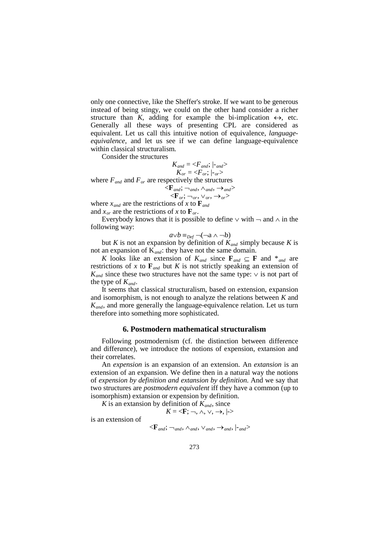only one connective, like the Sheffer's stroke. If we want to be generous instead of being stingy, we could on the other hand consider a richer structure than *K*, adding for example the bi-implication  $\leftrightarrow$ , etc. Generally all these ways of presenting CPL are considered as equivalent. Let us call this intuitive notion of equivalence, *languageequivalence*, and let us see if we can define language-equivalence within classical structuralism.

Consider the structures

$$
K_{and} = \langle F_{and}; |_{and} \rangle
$$
  

$$
K_{or} = \langle F_{or}; |_{or} \rangle
$$

where  $F_{and}$  and  $F_{or}$  are respectively the structures

$$
<\!\!\mathbf{F}_{and}; \neg_{and}, \land_{and}, \rightarrow_{and} \!\!>
$$
  

$$
<\!\!\mathbf{F}_{or}; \neg_{or}, \lor_{or}, \rightarrow_{or} \!\!>
$$

where  $x_{and}$  are the restrictions of x to  $\mathbf{F}_{and}$ 

and  $x_{\alpha r}$  are the restrictions of x to  $\mathbf{F}_{\alpha r}$ .

Everybody knows that it is possible to define  $\vee$  with  $\neg$  and  $\wedge$  in the following way:

$$
a \vee b \equiv_{\text{Def}} \neg(\neg a \wedge \neg b)
$$

but *K* is not an expansion by definition of  $K_{and}$  simply because *K* is not an expansion of K*and*: they have not the same domain.

*K* looks like an extension of  $K_{and}$  since  $\mathbf{F}_{and} \subseteq \mathbf{F}$  and  $*_{and}$  are restrictions of *x* to  $\mathbf{F}_{and}$  but *K* is not strictly speaking an extension of  $K_{and}$  since these two structures have not the same type:  $\vee$  is not part of the type of  $K_{and}$ .

It seems that classical structuralism, based on extension, expansion and isomorphism, is not enough to analyze the relations between *K* and *K<sub>and*</sub>, and more generally the language-equivalence relation. Let us turn therefore into something more sophisticated.

#### **6. Postmodern mathematical structuralism**

Following postmodernism (cf. the distinction between differ*e*nce and differ*a*nce), we introduce the notions of expension, extansion and their correlates.

An *expension* is an expansion of an extension. An *extansion* is an extension of an expansion. We define then in a natural way the notions of *expension by definition and extansion by definition*. And we say that two structures are *postmodern equivalent* iff they have a common (up to isomorphism) extansion or expension by definition.

*K* is an extansion by definition of  $K_{and}$ , since

 $K = \langle \mathbf{F}; \neg, \wedge, \vee, \rightarrow, | \rightarrow \rangle$ 

is an extension of

$$
<\!\!F_{\mathit{and}}; \lnot_{\mathit{and}}, \land_{\mathit{and}}, \lor_{\mathit{and}}, \lnot_{\mathit{and}}, \lvert \lnot_{\mathit{and}} \rangle
$$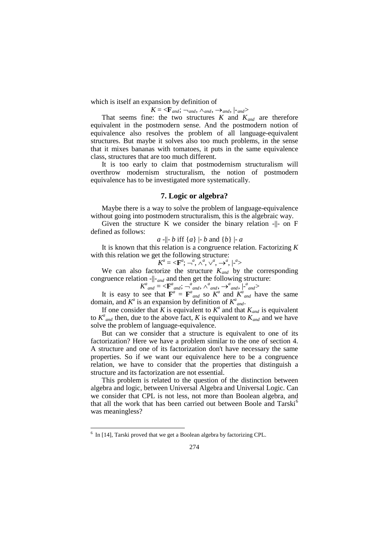which is itself an expansion by definition of

 $K = \langle \mathbf{F}_{and}; \neg_{and}, \wedge_{and}, \rightarrow_{and}, | \neg_{and} \rangle$ 

That seems fine: the two structures  $K$  and  $K_{and}$  are therefore equivalent in the postmodern sense. And the postmodern notion of equivalence also resolves the problem of all language-equivalent structures. But maybe it solves also too much problems, in the sense that it mixes bananas with tomatoes, it puts in the same equivalence class, structures that are too much different.

It is too early to claim that postmodernism structuralism will overthrow modernism structuralism, the notion of postmodern equivalence has to be investigated more systematically.

## **7. Logic or algebra?**

Maybe there is a way to solve the problem of language-equivalence without going into postmodern structuralism, this is the algebraic way.

Given the structure K we consider the binary relation -||- on F defined as follows:

*a* -||- *b* iff {*a*} |- *b* and {*b*} |- *a*

It is known that this relation is a congruence relation. Factorizing *K* with this relation we get the following structure:

$$
K^a = \langle \mathbf{F}^a; \neg^a, \wedge^a, \vee^a, \rightarrow^a, | \neg^a \rangle
$$

We can also factorize the structure  $K_{and}$  by the corresponding congruence relation -||-*and* and then get the following structure:

 $K^{a}$ <sub>and</sub> = <**F**<sup>*a*</sup><sub>and</sub>;  $\rightarrow$ <sup>*a*</sup><sub>and</sub>,  $\land$ <sup>*a*</sup><sub>and</sub>,  $\rightarrow$ <sup>*a*</sup><sub>and</sub>,  $\mid$ <sup>*-a*</sup><sub>and</sub>>

It is easy to see that  $\mathbf{F}^a = \mathbf{F}^a_{and}$  so  $K^a$  and  $K^a_{and}$  have the same domain, and  $K^a$  is an expansion by definition of  $K^a_{and}$ .

If one consider that *K* is equivalent to  $K^a$  and that  $K_{and}$  is equivalent to  $K^a$ <sub>and</sub> then, due to the above fact, K is equivalent to  $K_{and}$  and we have solve the problem of language-equivalence.

But can we consider that a structure is equivalent to one of its factorization? Here we have a problem similar to the one of section 4. A structure and one of its factorization don't have necessary the same properties. So if we want our equivalence here to be a congruence relation, we have to consider that the properties that distinguish a structure and its factorization are not essential.

This problem is related to the question of the distinction between algebra and logic, between Universal Algebra and Universal Logic. Can we consider that CPL is not less, not more than Boolean algebra, and that all the work that has been carried out between Boole and Tarski<sup>[6](#page-8-0)</sup> was meaningless?

-

<span id="page-8-0"></span> $6$  In [14], Tarski proved that we get a Boolean algebra by factorizing CPL.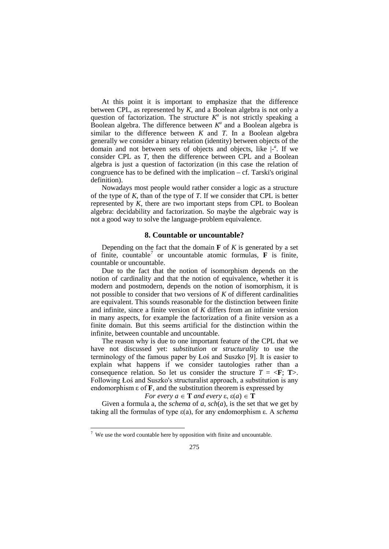At this point it is important to emphasize that the difference between CPL, as represented by *K*, and a Boolean algebra is not only a question of factorization. The structure  $K^a$  is not strictly speaking a Boolean algebra. The difference between  $K^a$  and a Boolean algebra is similar to the difference between *K* and *T*. In a Boolean algebra generally we consider a binary relation (identity) between objects of the domain and not between sets of objects and objects, like |- *a* . If we consider CPL as *T*, then the difference between CPL and a Boolean algebra is just a question of factorization (in this case the relation of congruence has to be defined with the implication – cf. Tarski's original definition).

Nowadays most people would rather consider a logic as a structure of the type of *K*, than of the type of *T*. If we consider that CPL is better represented by *K*, there are two important steps from CPL to Boolean algebra: decidability and factorization. So maybe the algebraic way is not a good way to solve the language-problem equivalence.

#### **8. Countable or uncountable?**

Depending on the fact that the domain  $\bf{F}$  of  $\bf{K}$  is generated by a set of finite, countable[7](#page-9-0) or uncountable atomic formulas, **F** is finite, countable or uncountable.

Due to the fact that the notion of isomorphism depends on the notion of cardinality and that the notion of equivalence, whether it is modern and postmodern, depends on the notion of isomorphism, it is not possible to consider that two versions of *K* of different cardinalities are equivalent. This sounds reasonable for the distinction between finite and infinite, since a finite version of *K* differs from an infinite version in many aspects, for example the factorization of a finite version as a finite domain. But this seems artificial for the distinction within the infinite, between countable and uncountable.

The reason why is due to one important feature of the CPL that we have not discussed yet: *substitution* or *structurality* to use the terminology of the famous paper by Łoś and Suszko [9]. It is easier to explain what happens if we consider tautologies rather than a consequence relation. So let us consider the structure  $T = \langle \mathbf{F}; \mathbf{T} \rangle$ . Following Łoś and Suszko's structuralist approach, a substitution is any endomorphism  $\varepsilon$  of  $\mathbf{F}$ , and the substitution theorem is expressed by

*For every a*  $\in$  **T** *and every*  $\varepsilon$ ,  $\varepsilon$  $(a) \in$  **T** 

Given a formula a, the *schema* of *a*, *sch*(*a*), is the set that we get by taking all the formulas of type ε(a), for any endomorphism ε. A *schema* 

-

<span id="page-9-0"></span> $7$  We use the word countable here by opposition with finite and uncountable.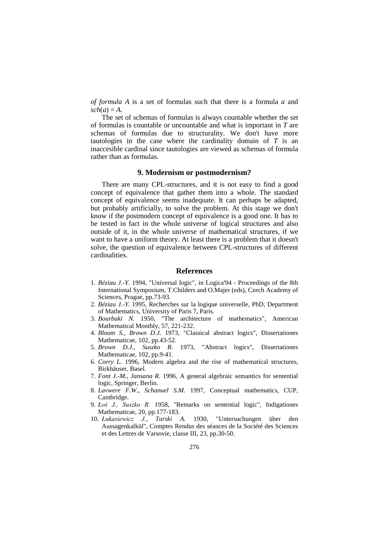*of formula A* is a set of formulas such that there is a formula *a* and  $sch(a) = A$ .

The set of schemas of formulas is always countable whether the set of formulas is countable or uncountable and what is important in *T* are schemas of formulas due to structurality. We don't have more tautologies in the case where the cardinality domain of *T* is an inaccesible cardinal since tautologies are viewed as schemas of formula rather than as formulas.

## **9. Modernism or postmodernism?**

There are many CPL-structures, and it is not easy to find a good concept of equivalence that gather them into a whole. The standard concept of equivalence seems inadequate. It can perhaps be adapted, but probably artificially, to solve the problem. At this stage we don't know if the postmodern concept of equivalence is a good one. It has to be tested in fact in the whole universe of logical structures and also outside of it, in the whole universe of mathematical structures, if we want to have a uniform theory. At least there is a problem that it doesn't solve, the question of equivalence between CPL-structures of different cardinalities.

# **References**

- 1. *Béziau J.-Y.* 1994, "Universal logic", in Logica'94 Proceedings of the 8th International Symposium, T.Childers and O.Majer (eds), Czech Academy of Sciences, Prague, pp.73-93.
- 2. *Béziau J.-Y.* 1995, Recherches sur la logique universelle, PhD, Department of Mathematics, University of Paris 7, Paris.
- 3. *Bourbaki N.* 1950, "The architecture of mathematics", American Mathematical Monthly, 57, 221-232.
- 4. *Bloom S.*, *Brown D.J.* 1973, "Classical abstract logics", Dissertationes Mathematicae, 102, pp.43-52.
- 5. *Brown D.J.*, *Suszko R.* 1973, "Abstract logics", Dissertationes Mathematicae, 102, pp.9-41.
- 6. *Corry L.* 1996, Modern algebra and the rise of mathematical structures, Birkhäuser, Basel.
- 7. *Font J.-M.*, *Jansana R.* 1996, A general algebraic semantics for sentential logic, Springer, Berlin.
- 8. *Lavwere F.W.*, *Schanuel S.M.* 1997, Conceptual mathematics, CUP, Cambridge.
- 9. *Łoś J., Suszko R.* 1958, "Remarks on sentential logic", Indigationes Mathematicae, 20, pp.177-183.
- 10. *Łukasiewicz J.*, *Tarski A.* 1930, "Untersuchungen über den Aussagenkalkül", Comptes Rendus des séances de la Société des Sciences et des Lettres de Varsovie, classe III, 23, pp.30-50.